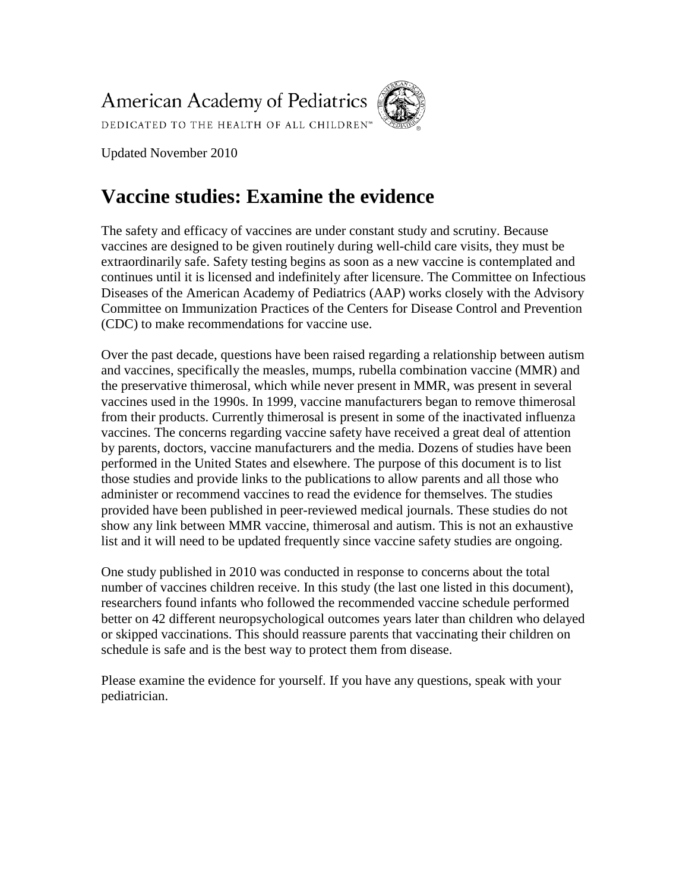**American Academy of Pediatrics** 



DEDICATED TO THE HEALTH OF ALL CHILDREN™

Updated November 2010

# **Vaccine studies: Examine the evidence**

The safety and efficacy of vaccines are under constant study and scrutiny. Because vaccines are designed to be given routinely during well-child care visits, they must be extraordinarily safe. Safety testing begins as soon as a new vaccine is contemplated and continues until it is licensed and indefinitely after licensure. The Committee on Infectious Diseases of the American Academy of Pediatrics (AAP) works closely with the Advisory Committee on Immunization Practices of the Centers for Disease Control and Prevention (CDC) to make recommendations for vaccine use.

Over the past decade, questions have been raised regarding a relationship between autism and vaccines, specifically the measles, mumps, rubella combination vaccine (MMR) and the preservative thimerosal, which while never present in MMR, was present in several vaccines used in the 1990s. In 1999, vaccine manufacturers began to remove thimerosal from their products. Currently thimerosal is present in some of the inactivated influenza vaccines. The concerns regarding vaccine safety have received a great deal of attention by parents, doctors, vaccine manufacturers and the media. Dozens of studies have been performed in the United States and elsewhere. The purpose of this document is to list those studies and provide links to the publications to allow parents and all those who administer or recommend vaccines to read the evidence for themselves. The studies provided have been published in peer-reviewed medical journals. These studies do not show any link between MMR vaccine, thimerosal and autism. This is not an exhaustive list and it will need to be updated frequently since vaccine safety studies are ongoing.

One study published in 2010 was conducted in response to concerns about the total number of vaccines children receive. In this study (the last one listed in this document), researchers found infants who followed the recommended vaccine schedule performed better on 42 different neuropsychological outcomes years later than children who delayed or skipped vaccinations. This should reassure parents that vaccinating their children on schedule is safe and is the best way to protect them from disease.

Please examine the evidence for yourself. If you have any questions, speak with your pediatrician.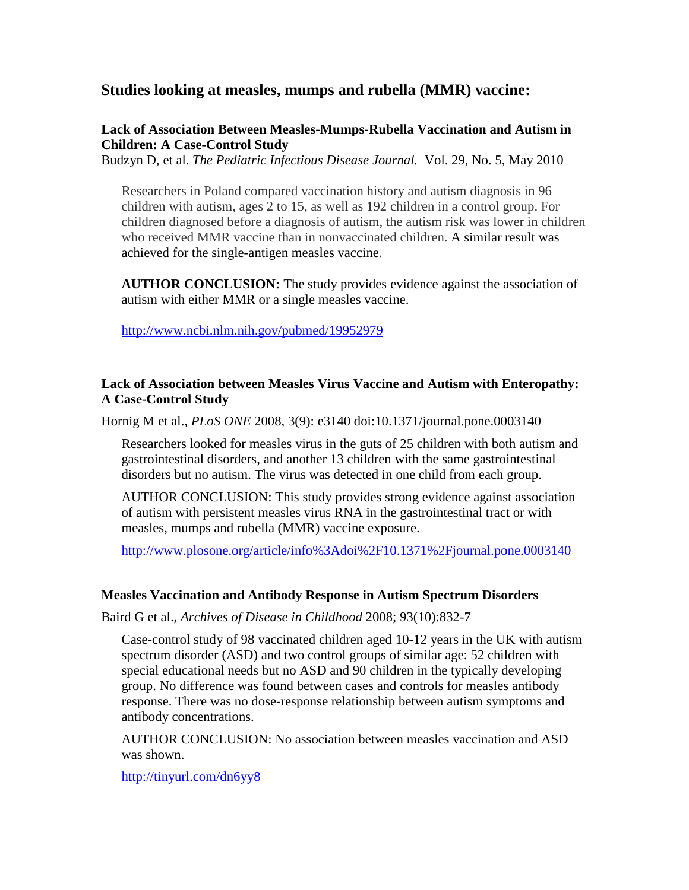# **Studies looking at measles, mumps and rubella (MMR) vaccine:**

# **Lack of Association Between Measles-Mumps-Rubella Vaccination and Autism in Children: A Case-Control Study**

Budzyn D, et al. *The Pediatric Infectious Disease Journal.* Vol. 29, No. 5, May 2010

Researchers in Poland compared vaccination history and autism diagnosis in 96 children with autism, ages 2 to 15, as well as 192 children in a control group. For children diagnosed before a diagnosis of autism, the autism risk was lower in children who received MMR vaccine than in nonvaccinated children. A similar result was achieved for the single-antigen measles vaccine.

**AUTHOR CONCLUSION:** The study provides evidence against the association of autism with either MMR or a single measles vaccine.

<http://www.ncbi.nlm.nih.gov/pubmed/19952979>

## **Lack of Association between Measles Virus Vaccine and Autism with Enteropathy: A Case-Control Study**

Hornig M et al., *PLoS ONE* 2008, 3(9): e3140 doi:10.1371/journal.pone.0003140

Researchers looked for measles virus in the guts of 25 children with both autism and gastrointestinal disorders, and another 13 children with the same gastrointestinal disorders but no autism. The virus was detected in one child from each group.

AUTHOR CONCLUSION: This study provides strong evidence against association of autism with persistent measles virus RNA in the gastrointestinal tract or with measles, mumps and rubella (MMR) vaccine exposure.

<http://www.plosone.org/article/info%3Adoi%2F10.1371%2Fjournal.pone.0003140>

#### **Measles Vaccination and Antibody Response in Autism Spectrum Disorders**

Baird G et al., *Archives of Disease in Childhood* 2008; 93(10):832-7

Case-control study of 98 vaccinated children aged 10-12 years in the UK with autism spectrum disorder (ASD) and two control groups of similar age: 52 children with special educational needs but no ASD and 90 children in the typically developing group. No difference was found between cases and controls for measles antibody response. There was no dose-response relationship between autism symptoms and antibody concentrations.

AUTHOR CONCLUSION: No association between measles vaccination and ASD was shown.

<http://tinyurl.com/dn6yy8>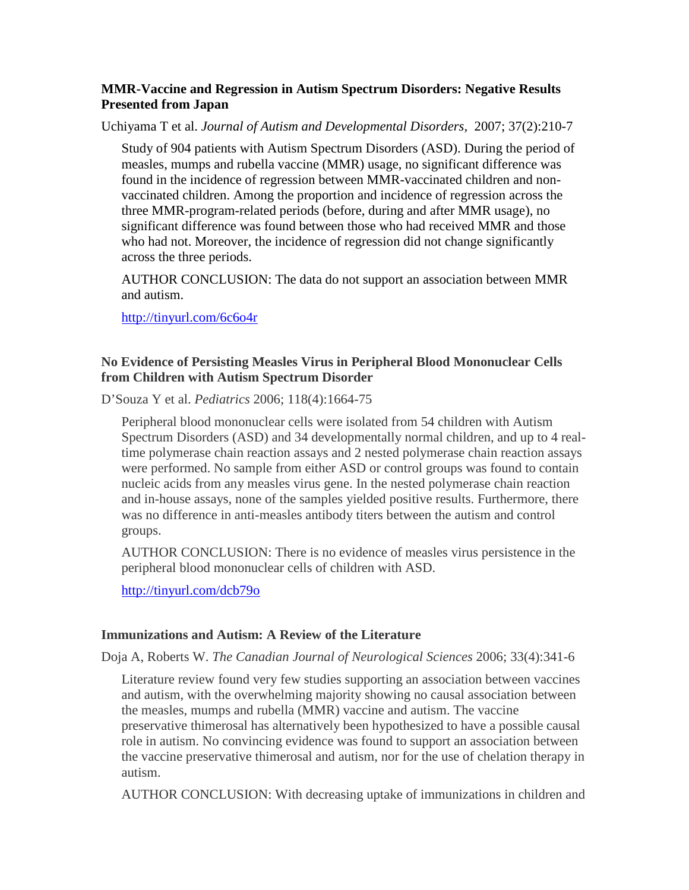## **MMR-Vaccine and Regression in Autism Spectrum Disorders: Negative Results Presented from Japan**

Uchiyama T et al. *Journal of Autism and Developmental Disorders,* 2007; 37(2):210-7

Study of 904 patients with Autism Spectrum Disorders (ASD). During the period of measles, mumps and rubella vaccine (MMR) usage, no significant difference was found in the incidence of regression between MMR-vaccinated children and nonvaccinated children. Among the proportion and incidence of regression across the three MMR-program-related periods (before, during and after MMR usage), no significant difference was found between those who had received MMR and those who had not. Moreover, the incidence of regression did not change significantly across the three periods.

AUTHOR CONCLUSION: The data do not support an association between MMR and autism.

http://tinyurl.com/6c6o4r

## **No Evidence of Persisting Measles Virus in Peripheral Blood Mononuclear Cells from Children with Autism Spectrum Disorder**

D'Souza Y et al. *Pediatrics* 2006; 118(4):1664-75

Peripheral blood mononuclear cells were isolated from 54 children with Autism Spectrum Disorders (ASD) and 34 developmentally normal children, and up to 4 realtime polymerase chain reaction assays and 2 nested polymerase chain reaction assays were performed. No sample from either ASD or control groups was found to contain nucleic acids from any measles virus gene. In the nested polymerase chain reaction and in-house assays, none of the samples yielded positive results. Furthermore, there was no difference in anti-measles antibody titers between the autism and control groups.

AUTHOR CONCLUSION: There is no evidence of measles virus persistence in the peripheral blood mononuclear cells of children with ASD.

<http://tinyurl.com/dcb79o>

#### **Immunizations and Autism: A Review of the Literature**

Doja A, Roberts W. *The Canadian Journal of Neurological Sciences* 2006; 33(4):341-6

Literature review found very few studies supporting an association between vaccines and autism, with the overwhelming majority showing no causal association between the measles, mumps and rubella (MMR) vaccine and autism. The vaccine preservative thimerosal has alternatively been hypothesized to have a possible causal role in autism. No convincing evidence was found to support an association between the vaccine preservative thimerosal and autism, nor for the use of chelation therapy in autism.

AUTHOR CONCLUSION: With decreasing uptake of immunizations in children and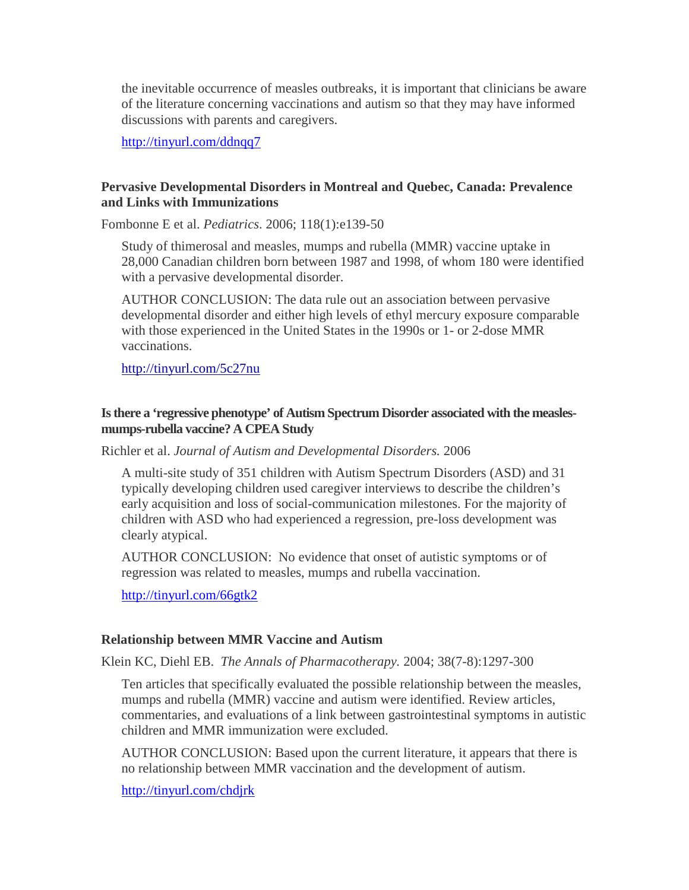the inevitable occurrence of measles outbreaks, it is important that clinicians be aware of the literature concerning vaccinations and autism so that they may have informed discussions with parents and caregivers.

http://tinyurl.com/ddnqq7

## **Pervasive Developmental Disorders in Montreal and Quebec, Canada: Prevalence and Links with Immunizations**

Fombonne E et al. *Pediatrics*. 2006; 118(1):e139-50

Study of thimerosal and measles, mumps and rubella (MMR) vaccine uptake in 28,000 Canadian children born between 1987 and 1998, of whom 180 were identified with a pervasive developmental disorder.

AUTHOR CONCLUSION: The data rule out an association between pervasive developmental disorder and either high levels of ethyl mercury exposure comparable with those experienced in the United States in the 1990s or 1- or 2-dose MMR vaccinations.

<http://tinyurl.com/5c27nu>

## **Is there a 'regressive phenotype' of Autism Spectrum Disorder associated with the measlesmumps-rubella vaccine? A CPEA Study**

Richler et al. *Journal of Autism and Developmental Disorders.* 2006

A multi-site study of 351 children with Autism Spectrum Disorders (ASD) and 31 typically developing children used caregiver interviews to describe the children's early acquisition and loss of social-communication milestones. For the majority of children with ASD who had experienced a regression, pre-loss development was clearly atypical.

AUTHOR CONCLUSION: No evidence that onset of autistic symptoms or of regression was related to measles, mumps and rubella vaccination.

<http://tinyurl.com/66gtk2>

#### **Relationship between MMR Vaccine and Autism**

Klein KC, Diehl EB. *The Annals of Pharmacotherapy.* 2004; 38(7-8):1297-300

Ten articles that specifically evaluated the possible relationship between the measles, mumps and rubella (MMR) vaccine and autism were identified. Review articles, commentaries, and evaluations of a link between gastrointestinal symptoms in autistic children and MMR immunization were excluded.

AUTHOR CONCLUSION: Based upon the current literature, it appears that there is no relationship between MMR vaccination and the development of autism.

<http://tinyurl.com/chdjrk>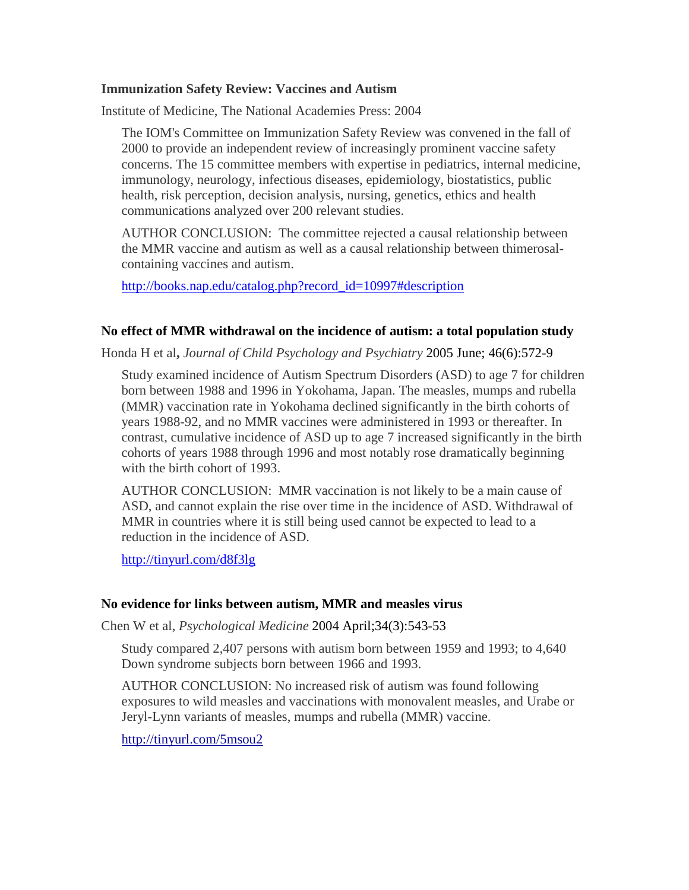#### **Immunization Safety Review: Vaccines and Autism**

Institute of Medicine, The National Academies Press: 2004

The IOM's Committee on Immunization Safety Review was convened in the fall of 2000 to provide an independent review of increasingly prominent vaccine safety concerns. The 15 committee members with expertise in pediatrics, internal medicine, immunology, neurology, infectious diseases, epidemiology, biostatistics, public health, risk perception, decision analysis, nursing, genetics, ethics and health communications analyzed over 200 relevant studies.

AUTHOR CONCLUSION: The committee rejected a causal relationship between the MMR vaccine and autism as well as a causal relationship between thimerosalcontaining vaccines and autism.

[http://books.nap.edu/catalog.php?record\\_id=10997#description](http://books.nap.edu/catalog.php?record_id=10997#description)

## **No effect of MMR withdrawal on the incidence of autism: a total population study**

Honda H et al**,** *Journal of Child Psychology and Psychiatry* 2005 June; 46(6):572-9

Study examined incidence of Autism Spectrum Disorders (ASD) to age 7 for children born between 1988 and 1996 in Yokohama, Japan. The measles, mumps and rubella (MMR) vaccination rate in Yokohama declined significantly in the birth cohorts of years 1988-92, and no MMR vaccines were administered in 1993 or thereafter. In contrast, cumulative incidence of ASD up to age 7 increased significantly in the birth cohorts of years 1988 through 1996 and most notably rose dramatically beginning with the birth cohort of 1993.

AUTHOR CONCLUSION: MMR vaccination is not likely to be a main cause of ASD, and cannot explain the rise over time in the incidence of ASD. Withdrawal of MMR in countries where it is still being used cannot be expected to lead to a reduction in the incidence of ASD.

http://tinyurl.com/d8f3lg

#### **No evidence for links between autism, MMR and measles virus**

Chen W et al, *Psychological Medicine* 2004 April;34(3):543-53

Study compared 2,407 persons with autism born between 1959 and 1993; to 4,640 Down syndrome subjects born between 1966 and 1993.

AUTHOR CONCLUSION: No increased risk of autism was found following exposures to wild measles and vaccinations with monovalent measles, and Urabe or Jeryl-Lynn variants of measles, mumps and rubella (MMR) vaccine.

<http://tinyurl.com/5msou2>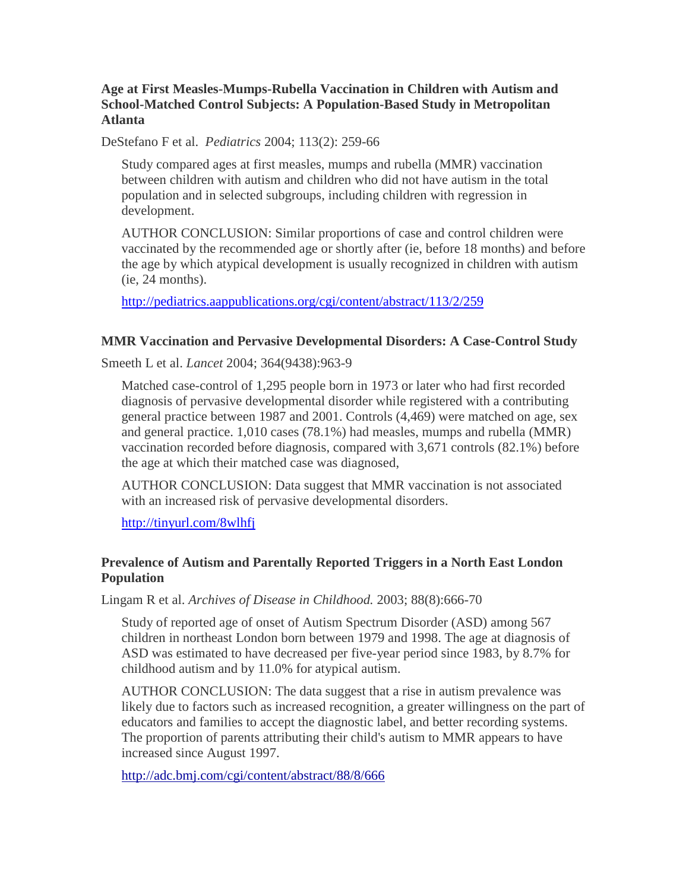## **Age at First Measles-Mumps-Rubella Vaccination in Children with Autism and School-Matched Control Subjects: A Population-Based Study in Metropolitan Atlanta**

DeStefano F et al. *Pediatrics* 2004; 113(2): 259-66

Study compared ages at first measles, mumps and rubella (MMR) vaccination between children with autism and children who did not have autism in the total population and in selected subgroups, including children with regression in development.

AUTHOR CONCLUSION: Similar proportions of case and control children were vaccinated by the recommended age or shortly after (ie, before 18 months) and before the age by which atypical development is usually recognized in children with autism (ie, 24 months).

<http://pediatrics.aappublications.org/cgi/content/abstract/113/2/259>

## **MMR Vaccination and Pervasive Developmental Disorders: A Case-Control Study**

Smeeth L et al. *Lancet* 2004; 364(9438):963-9

Matched case-control of 1,295 people born in 1973 or later who had first recorded diagnosis of pervasive developmental disorder while registered with a contributing general practice between 1987 and 2001. Controls (4,469) were matched on age, sex and general practice. 1,010 cases (78.1%) had measles, mumps and rubella (MMR) vaccination recorded before diagnosis, compared with 3,671 controls (82.1%) before the age at which their matched case was diagnosed,

AUTHOR CONCLUSION: Data suggest that MMR vaccination is not associated with an increased risk of pervasive developmental disorders.

<http://tinyurl.com/8wlhfj>

# **Prevalence of Autism and Parentally Reported Triggers in a North East London Population**

Lingam R et al. *Archives of Disease in Childhood.* 2003; 88(8):666-70

Study of reported age of onset of Autism Spectrum Disorder (ASD) among 567 children in northeast London born between 1979 and 1998. The age at diagnosis of ASD was estimated to have decreased per five-year period since 1983, by 8.7% for childhood autism and by 11.0% for atypical autism.

AUTHOR CONCLUSION: The data suggest that a rise in autism prevalence was likely due to factors such as increased recognition, a greater willingness on the part of educators and families to accept the diagnostic label, and better recording systems. The proportion of parents attributing their child's autism to MMR appears to have increased since August 1997.

<http://adc.bmj.com/cgi/content/abstract/88/8/666>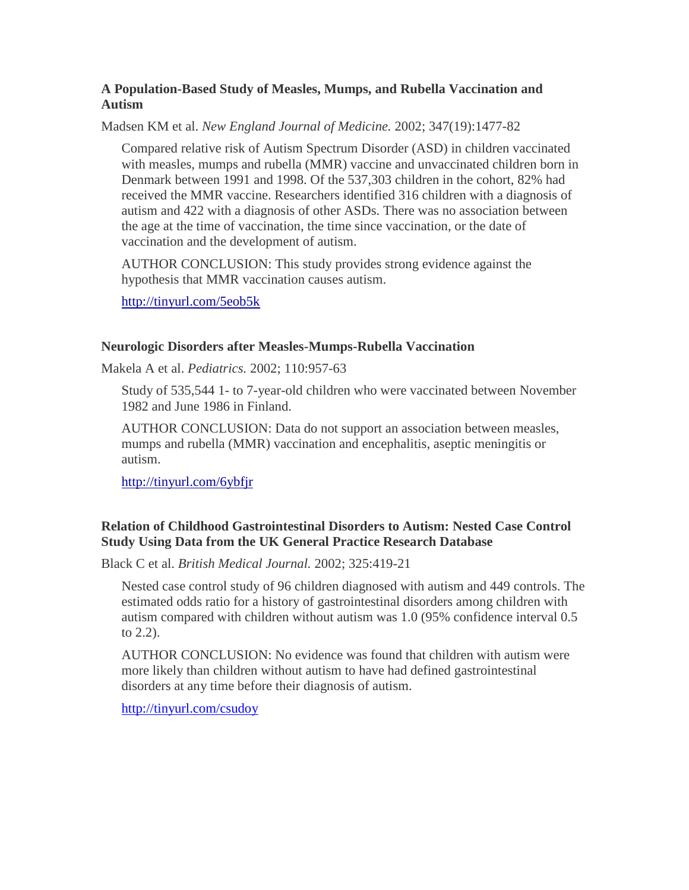## **A Population-Based Study of Measles, Mumps, and Rubella Vaccination and Autism**

Madsen KM et al. *New England Journal of Medicine.* 2002; 347(19):1477-82

Compared relative risk of Autism Spectrum Disorder (ASD) in children vaccinated with measles, mumps and rubella (MMR) vaccine and unvaccinated children born in Denmark between 1991 and 1998. Of the 537,303 children in the cohort, 82% had received the MMR vaccine. Researchers identified 316 children with a diagnosis of autism and 422 with a diagnosis of other ASDs. There was no association between the age at the time of vaccination, the time since vaccination, or the date of vaccination and the development of autism.

AUTHOR CONCLUSION: This study provides strong evidence against the hypothesis that MMR vaccination causes autism.

<http://tinyurl.com/5eob5k>

#### **Neurologic Disorders after Measles-Mumps-Rubella Vaccination**

Makela A et al. *Pediatrics.* 2002; 110:957-63

Study of 535,544 1- to 7-year-old children who were vaccinated between November 1982 and June 1986 in Finland.

AUTHOR CONCLUSION: Data do not support an association between measles, mumps and rubella (MMR) vaccination and encephalitis, aseptic meningitis or autism.

<http://tinyurl.com/6ybfjr>

# **Relation of Childhood Gastrointestinal Disorders to Autism: Nested Case Control Study Using Data from the UK General Practice Research Database**

Black C et al. *British Medical Journal.* 2002; 325:419-21

Nested case control study of 96 children diagnosed with autism and 449 controls. The estimated odds ratio for a history of gastrointestinal disorders among children with autism compared with children without autism was 1.0 (95% confidence interval 0.5 to 2.2).

AUTHOR CONCLUSION: No evidence was found that children with autism were more likely than children without autism to have had defined gastrointestinal disorders at any time before their diagnosis of autism.

<http://tinyurl.com/csudoy>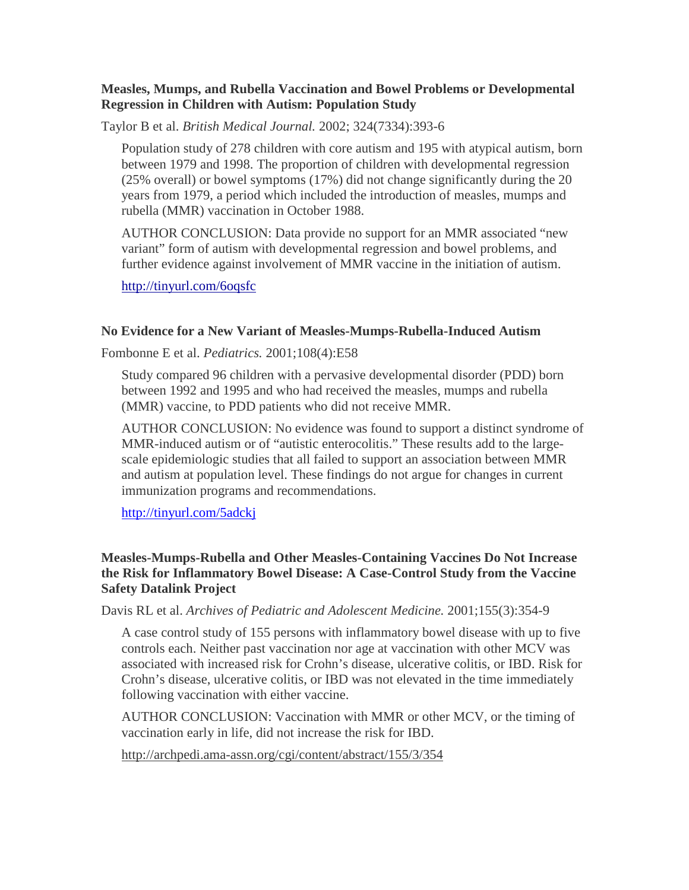#### **Measles, Mumps, and Rubella Vaccination and Bowel Problems or Developmental Regression in Children with Autism: Population Study**

Taylor B et al. *British Medical Journal.* 2002; 324(7334):393-6

Population study of 278 children with core autism and 195 with atypical autism, born between 1979 and 1998. The proportion of children with developmental regression (25% overall) or bowel symptoms (17%) did not change significantly during the 20 years from 1979, a period which included the introduction of measles, mumps and rubella (MMR) vaccination in October 1988.

AUTHOR CONCLUSION: Data provide no support for an MMR associated "new variant" form of autism with developmental regression and bowel problems, and further evidence against involvement of MMR vaccine in the initiation of autism.

<http://tinyurl.com/6oqsfc>

## **No Evidence for a New Variant of Measles-Mumps-Rubella-Induced Autism**

Fombonne E et al. *Pediatrics.* 2001;108(4):E58

Study compared 96 children with a pervasive developmental disorder (PDD) born between 1992 and 1995 and who had received the measles, mumps and rubella (MMR) vaccine, to PDD patients who did not receive MMR.

AUTHOR CONCLUSION: No evidence was found to support a distinct syndrome of MMR-induced autism or of "autistic enterocolitis." These results add to the largescale epidemiologic studies that all failed to support an association between MMR and autism at population level. These findings do not argue for changes in current immunization programs and recommendations.

[http://tinyurl.com/5adckj](http://www.ncbi.nlm.nih.gov/pubmed/11581466?ordinalpos=1&itool=EntrezSystem2.PEntrez.Pubmed.Pubmed_ResultsPanel.Pubmed_DiscoveryPanel.Pubmed_Discovery_RA&linkpos=2&log$=relatedarticles&logdbfrom=pubmed)

# **Measles-Mumps-Rubella and Other Measles-Containing Vaccines Do Not Increase the Risk for Inflammatory Bowel Disease: A Case-Control Study from the Vaccine Safety Datalink Project**

Davis RL et al. *Archives of Pediatric and Adolescent Medicine.* 2001;155(3):354-9

A case control study of 155 persons with inflammatory bowel disease with up to five controls each. Neither past vaccination nor age at vaccination with other MCV was associated with increased risk for Crohn's disease, ulcerative colitis, or IBD. Risk for Crohn's disease, ulcerative colitis, or IBD was not elevated in the time immediately following vaccination with either vaccine.

AUTHOR CONCLUSION: Vaccination with MMR or other MCV, or the timing of vaccination early in life, did not increase the risk for IBD.

<http://archpedi.ama-assn.org/cgi/content/abstract/155/3/354>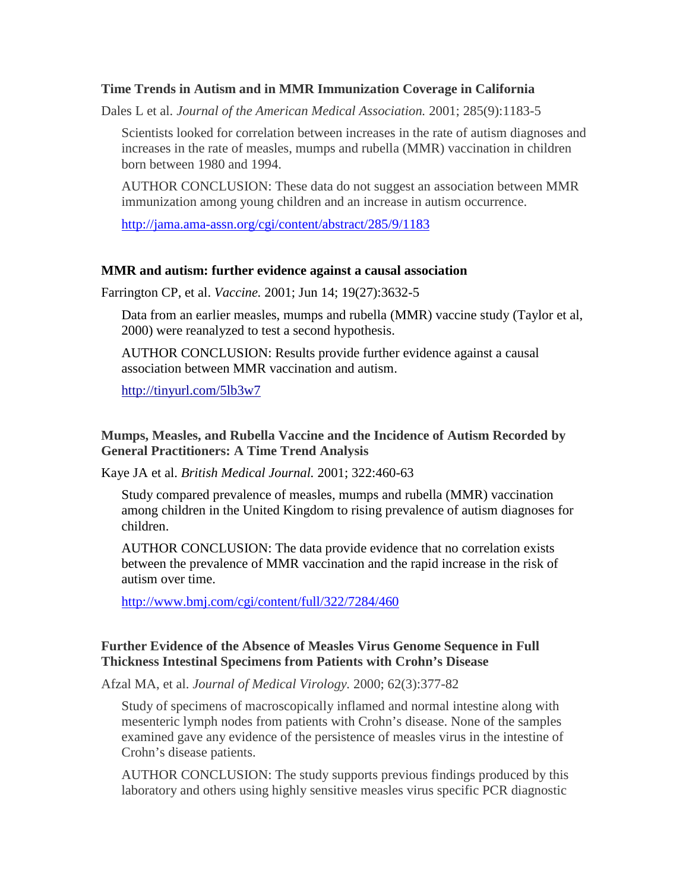#### **Time Trends in Autism and in MMR Immunization Coverage in California**

Dales L et al. *Journal of the American Medical Association.* 2001; 285(9):1183-5

Scientists looked for correlation between increases in the rate of autism diagnoses and increases in the rate of measles, mumps and rubella (MMR) vaccination in children born between 1980 and 1994.

AUTHOR CONCLUSION: These data do not suggest an association between MMR immunization among young children and an increase in autism occurrence.

<http://jama.ama-assn.org/cgi/content/abstract/285/9/1183>

#### **MMR and autism: further evidence against a causal association**

Farrington CP, et al. *Vaccine.* 2001; Jun 14; 19(27):3632-5

Data from an earlier measles, mumps and rubella (MMR) vaccine study (Taylor et al, 2000) were reanalyzed to test a second hypothesis.

AUTHOR CONCLUSION: Results provide further evidence against a causal association between MMR vaccination and autism.

<http://tinyurl.com/5lb3w7>

#### **Mumps, Measles, and Rubella Vaccine and the Incidence of Autism Recorded by General Practitioners: A Time Trend Analysis**

Kaye JA et al. *British Medical Journal.* 2001; 322:460-63

Study compared prevalence of measles, mumps and rubella (MMR) vaccination among children in the United Kingdom to rising prevalence of autism diagnoses for children.

AUTHOR CONCLUSION: The data provide evidence that no correlation exists between the prevalence of MMR vaccination and the rapid increase in the risk of autism over time.

<http://www.bmj.com/cgi/content/full/322/7284/460>

## **Further Evidence of the Absence of Measles Virus Genome Sequence in Full Thickness Intestinal Specimens from Patients with Crohn's Disease**

Afzal MA, et al. *Journal of Medical Virology.* 2000; 62(3):377-82

Study of specimens of macroscopically inflamed and normal intestine along with mesenteric lymph nodes from patients with Crohn's disease. None of the samples examined gave any evidence of the persistence of measles virus in the intestine of Crohn's disease patients.

AUTHOR CONCLUSION: The study supports previous findings produced by this laboratory and others using highly sensitive measles virus specific PCR diagnostic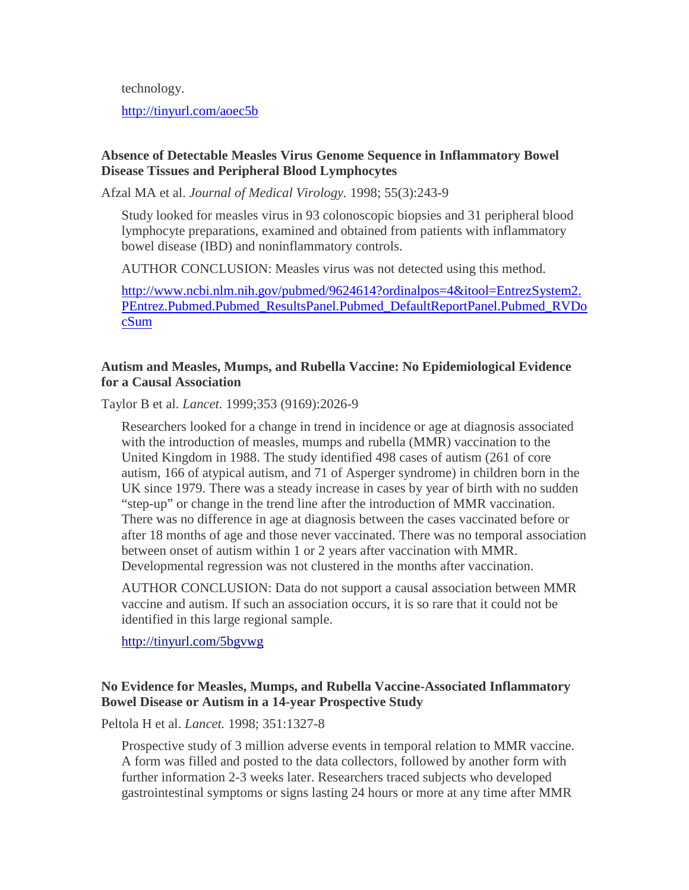technology.

<http://tinyurl.com/aoec5b>

## **Absence of Detectable Measles Virus Genome Sequence in Inflammatory Bowel Disease Tissues and Peripheral Blood Lymphocytes**

Afzal MA et al. *Journal of Medical Virology.* 1998; 55(3):243-9

Study looked for measles virus in 93 colonoscopic biopsies and 31 peripheral blood lymphocyte preparations, examined and obtained from patients with inflammatory bowel disease (IBD) and noninflammatory controls.

AUTHOR CONCLUSION: Measles virus was not detected using this method.

[http://www.ncbi.nlm.nih.gov/pubmed/9624614?ordinalpos=4&itool=EntrezSystem2.](http://www.ncbi.nlm.nih.gov/pubmed/9624614?ordinalpos=4&itool=EntrezSystem2.PEntrez.Pubmed.Pubmed_ResultsPanel.Pubmed_DefaultReportPanel.Pubmed_RVDocSum) [PEntrez.Pubmed.Pubmed\\_ResultsPanel.Pubmed\\_DefaultReportPanel.Pubmed\\_RVDo](http://www.ncbi.nlm.nih.gov/pubmed/9624614?ordinalpos=4&itool=EntrezSystem2.PEntrez.Pubmed.Pubmed_ResultsPanel.Pubmed_DefaultReportPanel.Pubmed_RVDocSum) [cSum](http://www.ncbi.nlm.nih.gov/pubmed/9624614?ordinalpos=4&itool=EntrezSystem2.PEntrez.Pubmed.Pubmed_ResultsPanel.Pubmed_DefaultReportPanel.Pubmed_RVDocSum)

# **Autism and Measles, Mumps, and Rubella Vaccine: No Epidemiological Evidence for a Causal Association**

Taylor B et al. *Lancet.* 1999;353 (9169):2026-9

Researchers looked for a change in trend in incidence or age at diagnosis associated with the introduction of measles, mumps and rubella (MMR) vaccination to the United Kingdom in 1988. The study identified 498 cases of autism (261 of core autism, 166 of atypical autism, and 71 of Asperger syndrome) in children born in the UK since 1979. There was a steady increase in cases by year of birth with no sudden "step-up" or change in the trend line after the introduction of MMR vaccination. There was no difference in age at diagnosis between the cases vaccinated before or after 18 months of age and those never vaccinated. There was no temporal association between onset of autism within 1 or 2 years after vaccination with MMR. Developmental regression was not clustered in the months after vaccination.

AUTHOR CONCLUSION: Data do not support a causal association between MMR vaccine and autism. If such an association occurs, it is so rare that it could not be identified in this large regional sample.

<http://tinyurl.com/5bgvwg>

# **No Evidence for Measles, Mumps, and Rubella Vaccine-Associated Inflammatory Bowel Disease or Autism in a 14-year Prospective Study**

Peltola H et al. *Lancet.* 1998; 351:1327-8

Prospective study of 3 million adverse events in temporal relation to MMR vaccine. A form was filled and posted to the data collectors, followed by another form with further information 2-3 weeks later. Researchers traced subjects who developed gastrointestinal symptoms or signs lasting 24 hours or more at any time after MMR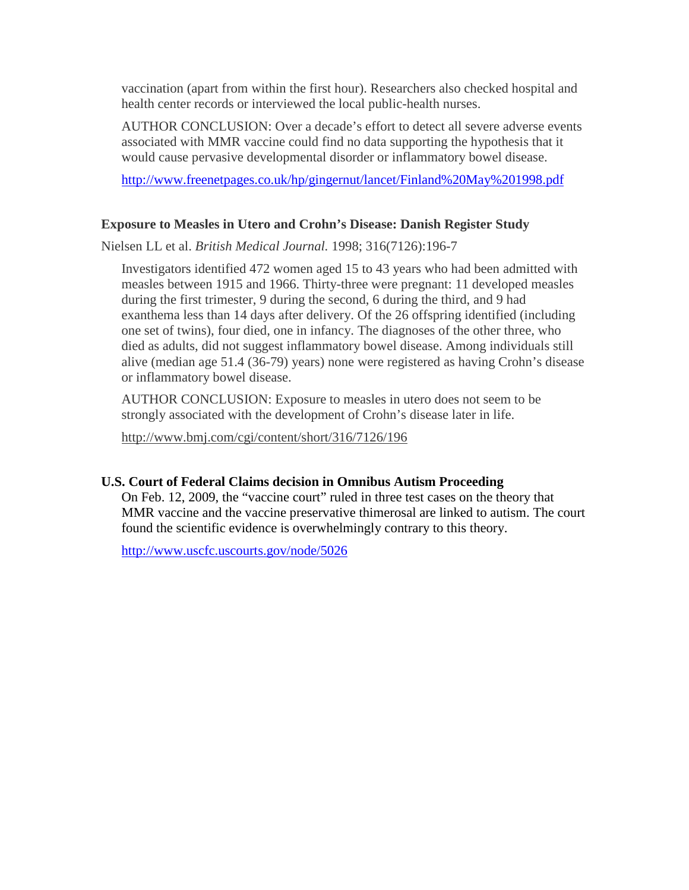vaccination (apart from within the first hour). Researchers also checked hospital and health center records or interviewed the local public-health nurses.

AUTHOR CONCLUSION: Over a decade's effort to detect all severe adverse events associated with MMR vaccine could find no data supporting the hypothesis that it would cause pervasive developmental disorder or inflammatory bowel disease.

[http://www.freenetpages.co.uk/hp/gingernut/lancet/Finland%20May%201998.pdf](http://www.freenetpages.co.uk/hp/gingernut/lancet/Finland May 1998.pdf)

## **Exposure to Measles in Utero and Crohn's Disease: Danish Register Study**

Nielsen LL et al. *British Medical Journal.* 1998; 316(7126):196-7

Investigators identified 472 women aged 15 to 43 years who had been admitted with measles between 1915 and 1966. Thirty-three were pregnant: 11 developed measles during the first trimester, 9 during the second, 6 during the third, and 9 had exanthema less than 14 days after delivery. Of the 26 offspring identified (including one set of twins), four died, one in infancy. The diagnoses of the other three, who died as adults, did not suggest inflammatory bowel disease. Among individuals still alive (median age 51.4 (36-79) years) none were registered as having Crohn's disease or inflammatory bowel disease.

AUTHOR CONCLUSION: Exposure to measles in utero does not seem to be strongly associated with the development of Crohn's disease later in life.

[http://www.bmj.com/cgi/content/short/316/7126/196](http://www.ncbi.nlm.nih.gov/sites/entrez)

#### **U.S. Court of Federal Claims decision in Omnibus Autism Proceeding**

On Feb. 12, 2009, the "vaccine court" ruled in three test cases on the theory that MMR vaccine and the vaccine preservative thimerosal are linked to autism. The court found the scientific evidence is overwhelmingly contrary to this theory.

<http://www.uscfc.uscourts.gov/node/5026>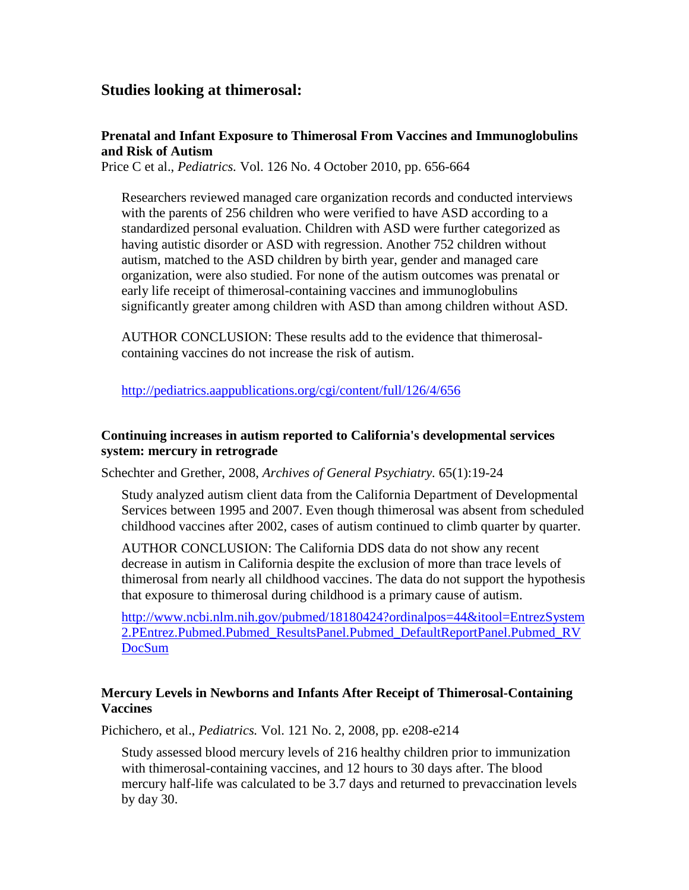# **Studies looking at thimerosal:**

#### **Prenatal and Infant Exposure to Thimerosal From Vaccines and Immunoglobulins and Risk of Autism**

Price C et al., *Pediatrics.* Vol. 126 No. 4 October 2010, pp. 656-664

Researchers reviewed managed care organization records and conducted interviews with the parents of 256 children who were verified to have ASD according to a standardized personal evaluation. Children with ASD were further categorized as having autistic disorder or ASD with regression. Another 752 children without autism, matched to the ASD children by birth year, gender and managed care organization, were also studied. For none of the autism outcomes was prenatal or early life receipt of thimerosal-containing vaccines and immunoglobulins significantly greater among children with ASD than among children without ASD.

AUTHOR CONCLUSION: These results add to the evidence that thimerosalcontaining vaccines do not increase the risk of autism.

<http://pediatrics.aappublications.org/cgi/content/full/126/4/656>

#### **Continuing increases in autism reported to California's developmental services system: mercury in retrograde**

Schechter and Grether, 2008, *Archives of General Psychiatry.* 65(1):19-24

Study analyzed autism client data from the California Department of Developmental Services between 1995 and 2007. Even though thimerosal was absent from scheduled childhood vaccines after 2002, cases of autism continued to climb quarter by quarter.

AUTHOR CONCLUSION: The California DDS data do not show any recent decrease in autism in California despite the exclusion of more than trace levels of thimerosal from nearly all childhood vaccines. The data do not support the hypothesis that exposure to thimerosal during childhood is a primary cause of autism.

[http://www.ncbi.nlm.nih.gov/pubmed/18180424?ordinalpos=44&itool=EntrezSystem](http://www.ncbi.nlm.nih.gov/pubmed/18180424?ordinalpos=44&itool=EntrezSystem2.PEntrez.Pubmed.Pubmed_ResultsPanel.Pubmed_DefaultReportPanel.Pubmed_RVDocSum) [2.PEntrez.Pubmed.Pubmed\\_ResultsPanel.Pubmed\\_DefaultReportPanel.Pubmed\\_RV](http://www.ncbi.nlm.nih.gov/pubmed/18180424?ordinalpos=44&itool=EntrezSystem2.PEntrez.Pubmed.Pubmed_ResultsPanel.Pubmed_DefaultReportPanel.Pubmed_RVDocSum) [DocSum](http://www.ncbi.nlm.nih.gov/pubmed/18180424?ordinalpos=44&itool=EntrezSystem2.PEntrez.Pubmed.Pubmed_ResultsPanel.Pubmed_DefaultReportPanel.Pubmed_RVDocSum)

## **Mercury Levels in Newborns and Infants After Receipt of Thimerosal-Containing Vaccines**

Pichichero, et al., *Pediatrics.* Vol. 121 No. 2, 2008, pp. e208-e214

Study assessed blood mercury levels of 216 healthy children prior to immunization with thimerosal-containing vaccines, and 12 hours to 30 days after. The blood mercury half-life was calculated to be 3.7 days and returned to prevaccination levels by day 30.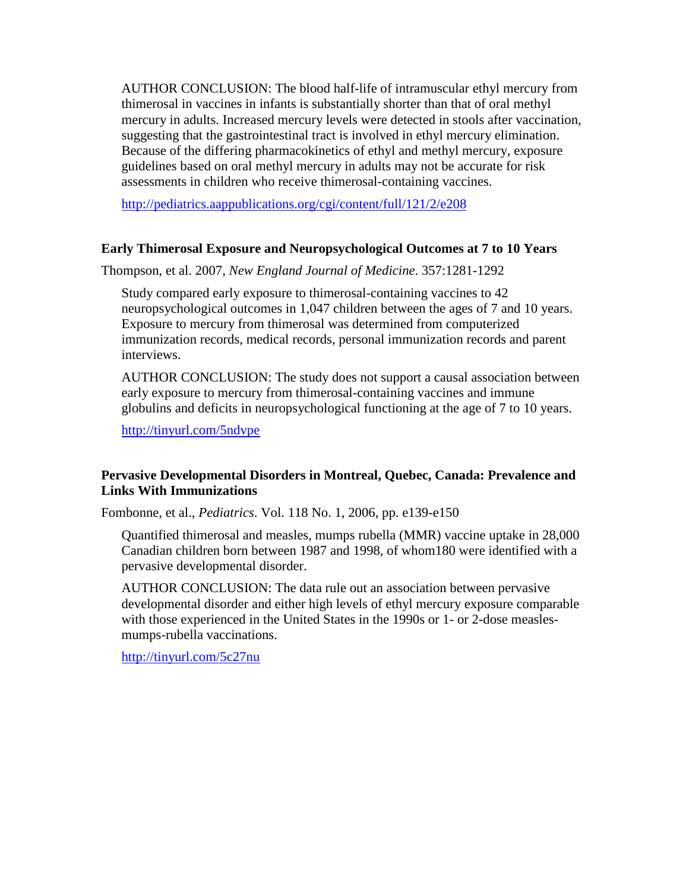AUTHOR CONCLUSION: The blood half-life of intramuscular ethyl mercury from thimerosal in vaccines in infants is substantially shorter than that of oral methyl mercury in adults. Increased mercury levels were detected in stools after vaccination, suggesting that the gastrointestinal tract is involved in ethyl mercury elimination. Because of the differing pharmacokinetics of ethyl and methyl mercury, exposure guidelines based on oral methyl mercury in adults may not be accurate for risk assessments in children who receive thimerosal-containing vaccines.

<http://pediatrics.aappublications.org/cgi/content/full/121/2/e208>

#### **Early Thimerosal Exposure and Neuropsychological Outcomes at 7 to 10 Years**

Thompson, et al. 2007, *New England Journal of Medicine*. 357:1281-1292

Study compared early exposure to thimerosal-containing vaccines to 42 neuropsychological outcomes in 1,047 children between the ages of 7 and 10 years. Exposure to mercury from thimerosal was determined from computerized immunization records, medical records, personal immunization records and parent interviews.

AUTHOR CONCLUSION: The study does not support a causal association between early exposure to mercury from thimerosal-containing vaccines and immune globulins and deficits in neuropsychological functioning at the age of 7 to 10 years.

[http://tinyurl.com/5ndvpe](http://www.ncbi.nlm.nih.gov/pubmed/17898097?ordinalpos=1&itool=EntrezSystem2.PEntrez.Pubmed.Pubmed_ResultsPanel.Pubmed_DefaultReportPanel.Pubmed_RVDocSum)

## **Pervasive Developmental Disorders in Montreal, Quebec, Canada: Prevalence and Links With Immunizations**

Fombonne, et al., *Pediatrics*. Vol. 118 No. 1, 2006, pp. e139-e150

Quantified thimerosal and measles, mumps rubella (MMR) vaccine uptake in 28,000 Canadian children born between 1987 and 1998, of whom180 were identified with a pervasive developmental disorder.

AUTHOR CONCLUSION: The data rule out an association between pervasive developmental disorder and either high levels of ethyl mercury exposure comparable with those experienced in the United States in the 1990s or 1- or 2-dose measlesmumps-rubella vaccinations.

[http://tinyurl.com/5c27nu](http://www.ncbi.nlm.nih.gov/pubmed/16818529?ordinalpos=3&itool=EntrezSystem2.PEntrez.Pubmed.Pubmed_ResultsPanel.Pubmed_DefaultReportPanel.Pubmed_RVDocSum)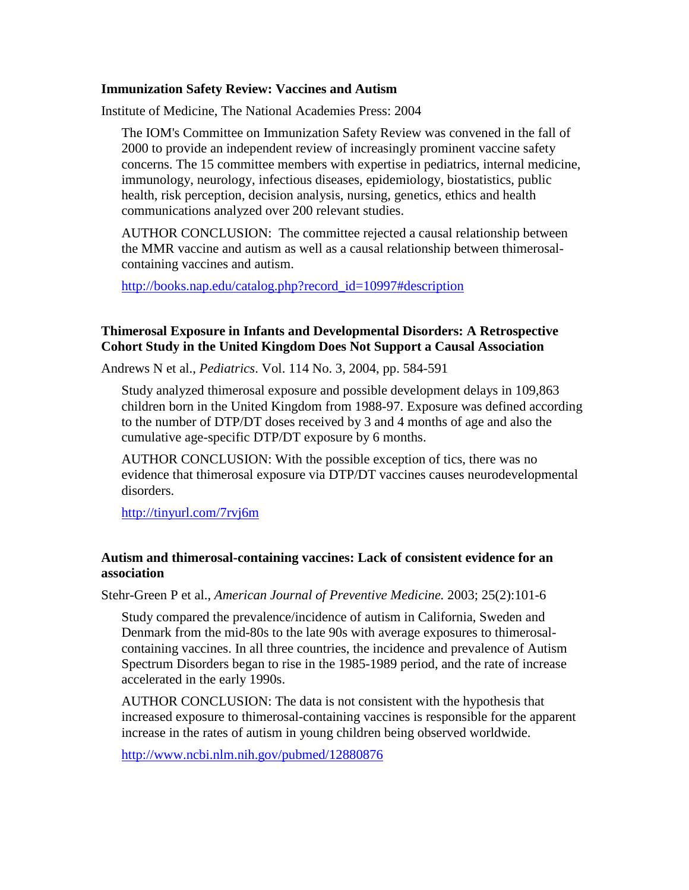#### **Immunization Safety Review: Vaccines and Autism**

Institute of Medicine, The National Academies Press: 2004

The IOM's Committee on Immunization Safety Review was convened in the fall of 2000 to provide an independent review of increasingly prominent vaccine safety concerns. The 15 committee members with expertise in pediatrics, internal medicine, immunology, neurology, infectious diseases, epidemiology, biostatistics, public health, risk perception, decision analysis, nursing, genetics, ethics and health communications analyzed over 200 relevant studies.

AUTHOR CONCLUSION: The committee rejected a causal relationship between the MMR vaccine and autism as well as a causal relationship between thimerosalcontaining vaccines and autism.

[http://books.nap.edu/catalog.php?record\\_id=10997#description](http://books.nap.edu/catalog.php?record_id=10997#description)

#### **Thimerosal Exposure in Infants and Developmental Disorders: A Retrospective Cohort Study in the United Kingdom Does Not Support a Causal Association**

Andrews N et al., *Pediatrics*. Vol. 114 No. 3, 2004, pp. 584-591

Study analyzed thimerosal exposure and possible development delays in 109,863 children born in the United Kingdom from 1988-97. Exposure was defined according to the number of DTP/DT doses received by 3 and 4 months of age and also the cumulative age-specific DTP/DT exposure by 6 months.

AUTHOR CONCLUSION: With the possible exception of tics, there was no evidence that thimerosal exposure via DTP/DT vaccines causes neurodevelopmental disorders.

<http://tinyurl.com/7rvj6m>

#### **Autism and thimerosal-containing vaccines: Lack of consistent evidence for an association**

Stehr-Green P et al., *American Journal of Preventive Medicine.* 2003; 25(2):101-6

Study compared the prevalence/incidence of autism in California, Sweden and Denmark from the mid-80s to the late 90s with average exposures to thimerosalcontaining vaccines. In all three countries, the incidence and prevalence of Autism Spectrum Disorders began to rise in the 1985-1989 period, and the rate of increase accelerated in the early 1990s.

AUTHOR CONCLUSION: The data is not consistent with the hypothesis that increased exposure to thimerosal-containing vaccines is responsible for the apparent increase in the rates of autism in young children being observed worldwide.

<http://www.ncbi.nlm.nih.gov/pubmed/12880876>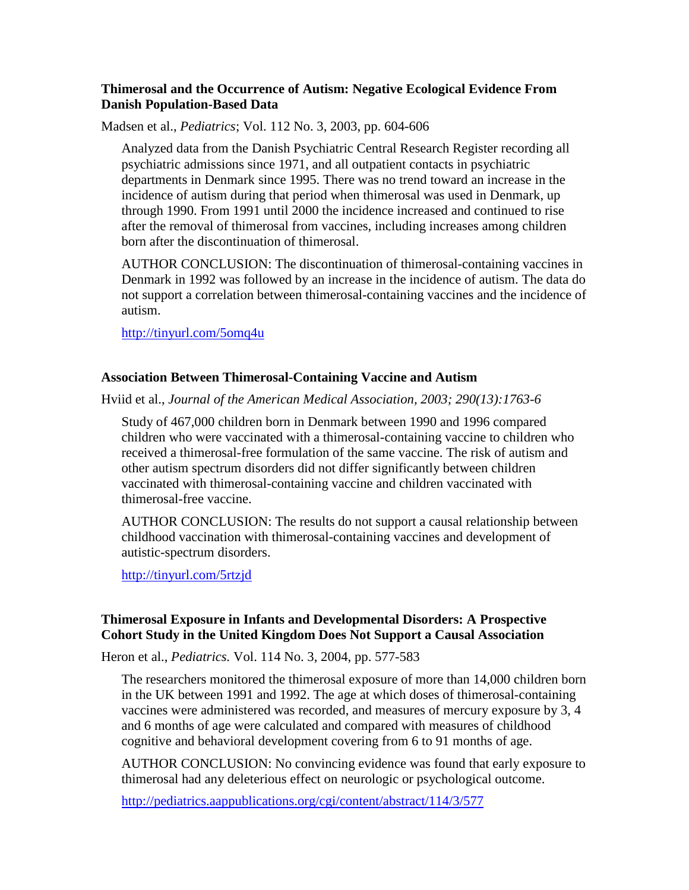#### **Thimerosal and the Occurrence of Autism: Negative Ecological Evidence From Danish Population-Based Data**

Madsen et al., *Pediatrics*; Vol. 112 No. 3, 2003, pp. 604-606

Analyzed data from the Danish Psychiatric Central Research Register recording all psychiatric admissions since 1971, and all outpatient contacts in psychiatric departments in Denmark since 1995. There was no trend toward an increase in the incidence of autism during that period when thimerosal was used in Denmark, up through 1990. From 1991 until 2000 the incidence increased and continued to rise after the removal of thimerosal from vaccines, including increases among children born after the discontinuation of thimerosal.

AUTHOR CONCLUSION: The discontinuation of thimerosal-containing vaccines in Denmark in 1992 was followed by an increase in the incidence of autism. The data do not support a correlation between thimerosal-containing vaccines and the incidence of autism.

[http://tinyurl.com/5omq4u](http://www.ncbi.nlm.nih.gov/pubmed/12949291?ordinalpos=1&itool=EntrezSystem2.PEntrez.Pubmed.Pubmed_ResultsPanel.Pubmed_DefaultReportPanel.Pubmed_RVDocSum)

#### **Association Between Thimerosal-Containing Vaccine and Autism**

Hviid et al., *Journal of the American Medical Association, 2003; 290(13):1763-6*

Study of 467,000 children born in Denmark between 1990 and 1996 compared children who were vaccinated with a thimerosal-containing vaccine to children who received a thimerosal-free formulation of the same vaccine. The risk of autism and other autism spectrum disorders did not differ significantly between children vaccinated with thimerosal-containing vaccine and children vaccinated with thimerosal-free vaccine.

AUTHOR CONCLUSION: The results do not support a causal relationship between childhood vaccination with thimerosal-containing vaccines and development of autistic-spectrum disorders.

[http://tinyurl.com/5rtzjd](http://www.ncbi.nlm.nih.gov/pubmed/14519711?ordinalpos=2&itool=EntrezSystem2.PEntrez.Pubmed.Pubmed_ResultsPanel.Pubmed_DefaultReportPanel.Pubmed_RVDocSum)

## **Thimerosal Exposure in Infants and Developmental Disorders: A Prospective Cohort Study in the United Kingdom Does Not Support a Causal Association**

Heron et al., *Pediatrics.* Vol. 114 No. 3, 2004, pp. 577-583

The researchers monitored the thimerosal exposure of more than 14,000 children born in the UK between 1991 and 1992. The age at which doses of thimerosal-containing vaccines were administered was recorded, and measures of mercury exposure by 3, 4 and 6 months of age were calculated and compared with measures of childhood cognitive and behavioral development covering from 6 to 91 months of age.

AUTHOR CONCLUSION: No convincing evidence was found that early exposure to thimerosal had any deleterious effect on neurologic or psychological outcome.

<http://pediatrics.aappublications.org/cgi/content/abstract/114/3/577>